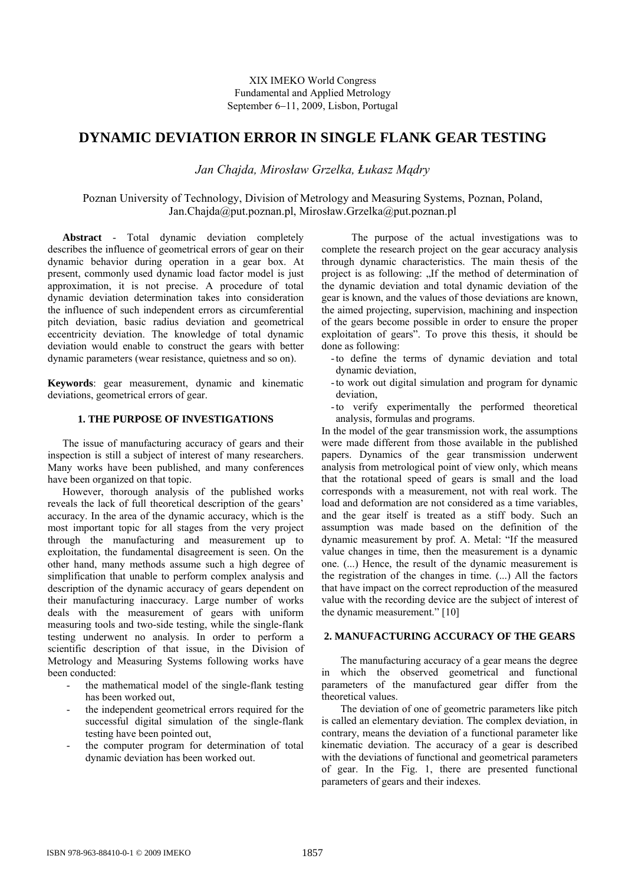# **DYNAMIC DEVIATION ERROR IN SINGLE FLANK GEAR TESTING**

*Jan Chajda, Mirosław Grzelka, Łukasz Mądry* 

## Poznan University of Technology, Division of Metrology and Measuring Systems, Poznan, Poland, Jan.Chajda@put.poznan.pl, Mirosław.Grzelka@put.poznan.pl

**Abstract** - Total dynamic deviation completely describes the influence of geometrical errors of gear on their dynamic behavior during operation in a gear box. At present, commonly used dynamic load factor model is just approximation, it is not precise. A procedure of total dynamic deviation determination takes into consideration the influence of such independent errors as circumferential pitch deviation, basic radius deviation and geometrical eccentricity deviation. The knowledge of total dynamic deviation would enable to construct the gears with better dynamic parameters (wear resistance, quietness and so on).

**Keywords**: gear measurement, dynamic and kinematic deviations, geometrical errors of gear.

## **1. THE PURPOSE OF INVESTIGATIONS**

The issue of manufacturing accuracy of gears and their inspection is still a subject of interest of many researchers. Many works have been published, and many conferences have been organized on that topic.

However, thorough analysis of the published works reveals the lack of full theoretical description of the gears' accuracy. In the area of the dynamic accuracy, which is the most important topic for all stages from the very project through the manufacturing and measurement up to exploitation, the fundamental disagreement is seen. On the other hand, many methods assume such a high degree of simplification that unable to perform complex analysis and description of the dynamic accuracy of gears dependent on their manufacturing inaccuracy. Large number of works deals with the measurement of gears with uniform measuring tools and two-side testing, while the single-flank testing underwent no analysis. In order to perform a scientific description of that issue, in the Division of Metrology and Measuring Systems following works have been conducted:

- the mathematical model of the single-flank testing has been worked out,
- the independent geometrical errors required for the successful digital simulation of the single-flank testing have been pointed out,
- the computer program for determination of total dynamic deviation has been worked out.

The purpose of the actual investigations was to complete the research project on the gear accuracy analysis through dynamic characteristics. The main thesis of the project is as following: "If the method of determination of the dynamic deviation and total dynamic deviation of the gear is known, and the values of those deviations are known, the aimed projecting, supervision, machining and inspection of the gears become possible in order to ensure the proper exploitation of gears". To prove this thesis, it should be done as following:

- -to define the terms of dynamic deviation and total dynamic deviation,
- -to work out digital simulation and program for dynamic deviation,
- -to verify experimentally the performed theoretical analysis, formulas and programs.

In the model of the gear transmission work, the assumptions were made different from those available in the published papers. Dynamics of the gear transmission underwent analysis from metrological point of view only, which means that the rotational speed of gears is small and the load corresponds with a measurement, not with real work. The load and deformation are not considered as a time variables, and the gear itself is treated as a stiff body. Such an assumption was made based on the definition of the dynamic measurement by prof. A. Metal: "If the measured value changes in time, then the measurement is a dynamic one. (...) Hence, the result of the dynamic measurement is the registration of the changes in time. (...) All the factors that have impact on the correct reproduction of the measured value with the recording device are the subject of interest of the dynamic measurement." [10]

### **2. MANUFACTURING ACCURACY OF THE GEARS**

 The manufacturing accuracy of a gear means the degree in which the observed geometrical and functional parameters of the manufactured gear differ from the theoretical values.

 The deviation of one of geometric parameters like pitch is called an elementary deviation. The complex deviation, in contrary, means the deviation of a functional parameter like kinematic deviation. The accuracy of a gear is described with the deviations of functional and geometrical parameters of gear. In the Fig. 1, there are presented functional parameters of gears and their indexes.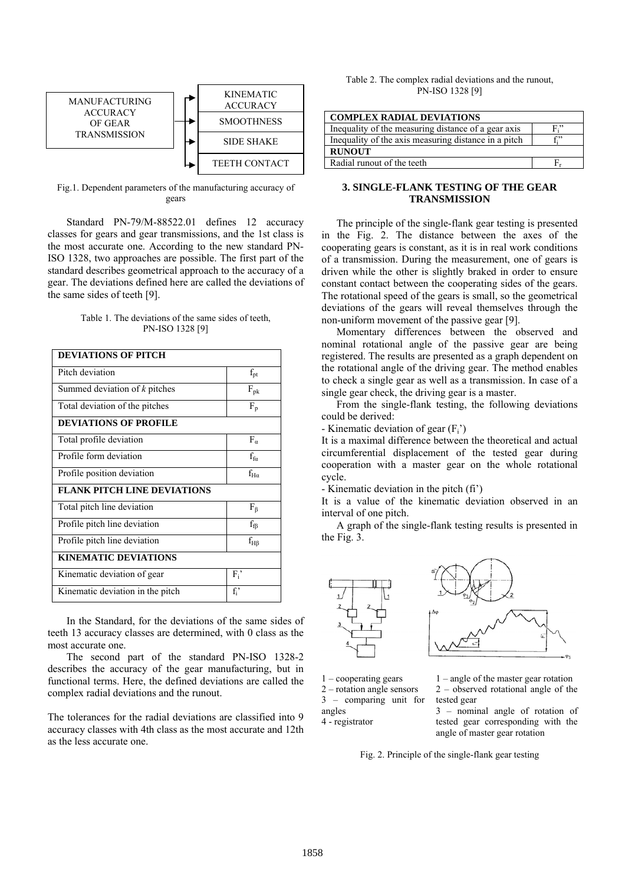

Fig.1. Dependent parameters of the manufacturing accuracy of gears

 Standard PN-79/M-88522.01 defines 12 accuracy classes for gears and gear transmissions, and the 1st class is the most accurate one. According to the new standard PN-ISO 1328, two approaches are possible. The first part of the standard describes geometrical approach to the accuracy of a gear. The deviations defined here are called the deviations of the same sides of teeth [9].

Table 1. The deviations of the same sides of teeth, PN-ISO 1328 [9]

| <b>DEVIATIONS OF PITCH</b>         |                     |
|------------------------------------|---------------------|
| Pitch deviation                    | $f_{\text{pt}}$     |
| Summed deviation of $k$ pitches    | $F_{\rm pk}$        |
| Total deviation of the pitches     | $F_p$               |
| <b>DEVIATIONS OF PROFILE</b>       |                     |
| Total profile deviation            | $F_{\alpha}$        |
| Profile form deviation             | $f_{fa}$            |
| Profile position deviation         | $f_{Ha}$            |
| <b>FLANK PITCH LINE DEVIATIONS</b> |                     |
| Total pitch line deviation         | $F_{\beta}$         |
| Profile pitch line deviation       | $f_{\text{f}\beta}$ |
| Profile pitch line deviation       | $f_{H\beta}$        |
| <b>KINEMATIC DEVIATIONS</b>        |                     |
| Kinematic deviation of gear        | $F_i$               |
| Kinematic deviation in the pitch   | $f_i$               |

 In the Standard, for the deviations of the same sides of teeth 13 accuracy classes are determined, with 0 class as the most accurate one.

 The second part of the standard PN-ISO 1328-2 describes the accuracy of the gear manufacturing, but in functional terms. Here, the defined deviations are called the complex radial deviations and the runout.

The tolerances for the radial deviations are classified into 9 accuracy classes with 4th class as the most accurate and 12th as the less accurate one.

| Table 2. The complex radial deviations and the runout, |
|--------------------------------------------------------|
| PN-ISO 1328 [9]                                        |

| <b>COMPLEX RADIAL DEVIATIONS</b>                     |              |
|------------------------------------------------------|--------------|
| Inequality of the measuring distance of a gear axis  | $F^{\prime}$ |
| Inequality of the axis measuring distance in a pitch |              |
| <b>RUNOUT</b>                                        |              |
| Radial runout of the teeth                           |              |

## **3. SINGLE-FLANK TESTING OF THE GEAR TRANSMISSION**

 The principle of the single-flank gear testing is presented in the Fig. 2. The distance between the axes of the cooperating gears is constant, as it is in real work conditions of a transmission. During the measurement, one of gears is driven while the other is slightly braked in order to ensure constant contact between the cooperating sides of the gears. The rotational speed of the gears is small, so the geometrical deviations of the gears will reveal themselves through the non-uniform movement of the passive gear [9].

 Momentary differences between the observed and nominal rotational angle of the passive gear are being registered. The results are presented as a graph dependent on the rotational angle of the driving gear. The method enables to check a single gear as well as a transmission. In case of a single gear check, the driving gear is a master.

 From the single-flank testing, the following deviations could be derived:

- Kinematic deviation of gear  $(F_i)$ 

It is a maximal difference between the theoretical and actual circumferential displacement of the tested gear during cooperation with a master gear on the whole rotational cycle.

- Kinematic deviation in the pitch (fi')

It is a value of the kinematic deviation observed in an interval of one pitch.

 A graph of the single-flank testing results is presented in the Fig. 3.



1 – cooperating gears 2 – rotation angle sensors

3 – comparing unit for

1 – angle of the master gear rotation tested gear

angles 4 - registrator 2 – observed rotational angle of the

3 – nominal angle of rotation of tested gear corresponding with the angle of master gear rotation

Fig. 2. Principle of the single-flank gear testing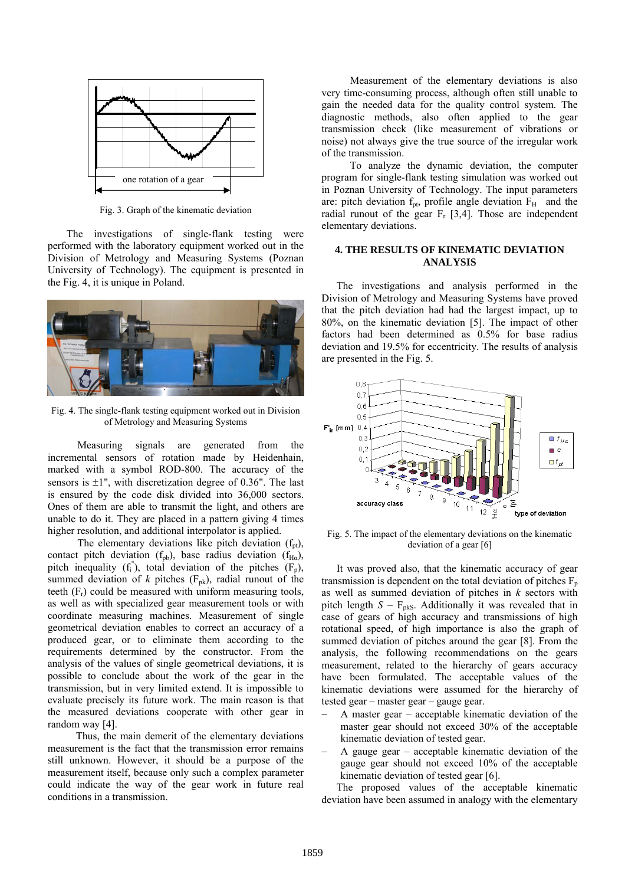

Fig. 3. Graph of the kinematic deviation

 The investigations of single-flank testing were performed with the laboratory equipment worked out in the Division of Metrology and Measuring Systems (Poznan University of Technology). The equipment is presented in the Fig. 4, it is unique in Poland.



Fig. 4. The single-flank testing equipment worked out in Division of Metrology and Measuring Systems

Measuring signals are generated from the incremental sensors of rotation made by Heidenhain, marked with a symbol ROD-800. The accuracy of the sensors is  $\pm 1$ ", with discretization degree of 0.36". The last is ensured by the code disk divided into 36,000 sectors. Ones of them are able to transmit the light, and others are unable to do it. They are placed in a pattern giving 4 times higher resolution, and additional interpolator is applied.

The elementary deviations like pitch deviation  $(f<sub>pt</sub>)$ , contact pitch deviation ( $f_{pb}$ ), base radius deviation ( $f_{Ha}$ ), pitch inequality ( $f_i^{\prime\prime}$ ), total deviation of the pitches ( $F_p$ ), summed deviation of  $k$  pitches ( $F_{pk}$ ), radial runout of the teeth  $(F_r)$  could be measured with uniform measuring tools, as well as with specialized gear measurement tools or with coordinate measuring machines. Measurement of single geometrical deviation enables to correct an accuracy of a produced gear, or to eliminate them according to the requirements determined by the constructor. From the analysis of the values of single geometrical deviations, it is possible to conclude about the work of the gear in the transmission, but in very limited extend. It is impossible to evaluate precisely its future work. The main reason is that the measured deviations cooperate with other gear in random way [4].

Thus, the main demerit of the elementary deviations measurement is the fact that the transmission error remains still unknown. However, it should be a purpose of the measurement itself, because only such a complex parameter could indicate the way of the gear work in future real conditions in a transmission.

Measurement of the elementary deviations is also very time-consuming process, although often still unable to gain the needed data for the quality control system. The diagnostic methods, also often applied to the gear transmission check (like measurement of vibrations or noise) not always give the true source of the irregular work of the transmission.

To analyze the dynamic deviation, the computer program for single-flank testing simulation was worked out in Poznan University of Technology. The input parameters are: pitch deviation  $f_{pt}$ , profile angle deviation  $F_H$  and the radial runout of the gear  $F_r$  [3,4]. Those are independent elementary deviations.

### **4. THE RESULTS OF KINEMATIC DEVIATION ANALYSIS**

 The investigations and analysis performed in the Division of Metrology and Measuring Systems have proved that the pitch deviation had had the largest impact, up to 80%, on the kinematic deviation [5]. The impact of other factors had been determined as 0.5% for base radius deviation and 19.5% for eccentricity. The results of analysis are presented in the Fig. 5.



Fig. 5. The impact of the elementary deviations on the kinematic deviation of a gear [6]

 It was proved also, that the kinematic accuracy of gear transmission is dependent on the total deviation of pitches  $F_p$ as well as summed deviation of pitches in *k* sectors with pitch length  $S - F_{\text{pks}}$ . Additionally it was revealed that in case of gears of high accuracy and transmissions of high rotational speed, of high importance is also the graph of summed deviation of pitches around the gear [8]. From the analysis, the following recommendations on the gears measurement, related to the hierarchy of gears accuracy have been formulated. The acceptable values of the kinematic deviations were assumed for the hierarchy of tested gear – master gear – gauge gear.

- − A master gear acceptable kinematic deviation of the master gear should not exceed 30% of the acceptable kinematic deviation of tested gear.
- − A gauge gear acceptable kinematic deviation of the gauge gear should not exceed 10% of the acceptable kinematic deviation of tested gear [6].

 The proposed values of the acceptable kinematic deviation have been assumed in analogy with the elementary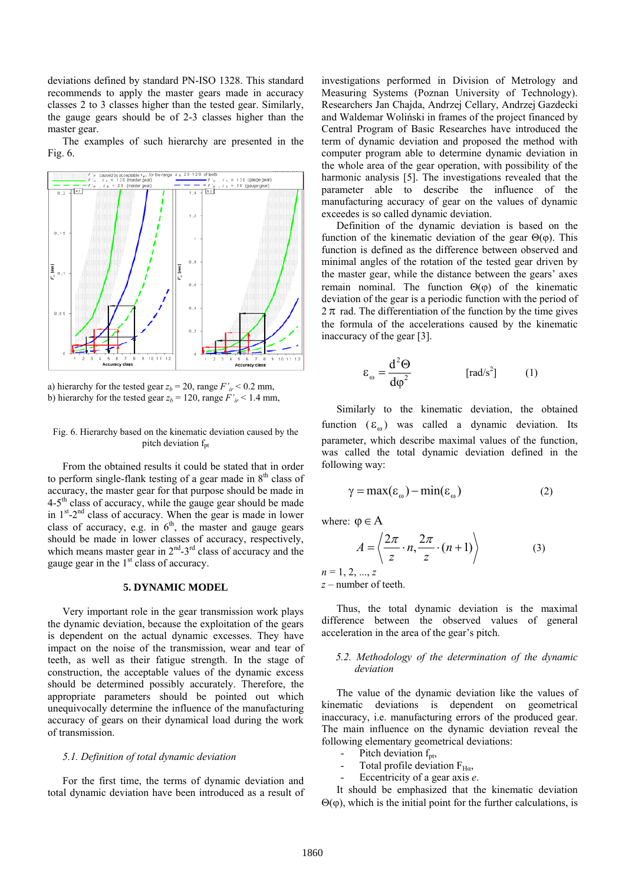deviations defined by standard PN-ISO 1328. This standard recommends to apply the master gears made in accuracy classes 2 to 3 classes higher than the tested gear. Similarly, the gauge gears should be of 2-3 classes higher than the master gear.

 The examples of such hierarchy are presented in the Fig. 6.



a) hierarchy for the tested gear  $z_b = 20$ , range  $F'_{ir} < 0.2$  mm, b) hierarchy for the tested gear  $z_b = 120$ , range  $F'_{ir} < 1.4$  mm,

#### Fig. 6. Hierarchy based on the kinematic deviation caused by the pitch deviation  $f<sub>pt</sub>$

 From the obtained results it could be stated that in order to perform single-flank testing of a gear made in  $8<sup>th</sup>$  class of accuracy, the master gear for that purpose should be made in  $4-5<sup>th</sup>$  class of accuracy, while the gauge gear should be made in  $1<sup>st</sup> - 2<sup>nd</sup>$  class of accuracy. When the gear is made in lower class of accuracy, e.g. in  $6<sup>th</sup>$ , the master and gauge gears should be made in lower classes of accuracy, respectively, which means master gear in  $2<sup>nd</sup> - 3<sup>rd</sup>$  class of accuracy and the gauge gear in the  $1<sup>st</sup>$  class of accuracy.

## **5. DYNAMIC MODEL**

 Very important role in the gear transmission work plays the dynamic deviation, because the exploitation of the gears is dependent on the actual dynamic excesses. They have impact on the noise of the transmission, wear and tear of teeth, as well as their fatigue strength. In the stage of construction, the acceptable values of the dynamic excess should be determined possibly accurately. Therefore, the appropriate parameters should be pointed out which unequivocally determine the influence of the manufacturing accuracy of gears on their dynamical load during the work of transmission.

#### *5.1. Definition of total dynamic deviation*

 For the first time, the terms of dynamic deviation and total dynamic deviation have been introduced as a result of investigations performed in Division of Metrology and Measuring Systems (Poznan University of Technology). Researchers Jan Chajda, Andrzej Cellary, Andrzej Gazdecki and Waldemar Woliński in frames of the project financed by Central Program of Basic Researches have introduced the term of dynamic deviation and proposed the method with computer program able to determine dynamic deviation in the whole area of the gear operation, with possibility of the harmonic analysis [5]. The investigations revealed that the parameter able to describe the influence of the manufacturing accuracy of gear on the values of dynamic exceedes is so called dynamic deviation.

 Definition of the dynamic deviation is based on the function of the kinematic deviation of the gear  $\Theta(\phi)$ . This function is defined as the difference between observed and minimal angles of the rotation of the tested gear driven by the master gear, while the distance between the gears' axes remain nominal. The function  $Θ(φ)$  of the kinematic deviation of the gear is a periodic function with the period of  $2 \pi$  rad. The differentiation of the function by the time gives the formula of the accelerations caused by the kinematic inaccuracy of the gear [3].

$$
\varepsilon_{\omega} = \frac{d^2 \Theta}{d\varphi^2} \qquad \qquad [\text{rad/s}^2] \qquad (1)
$$

 Similarly to the kinematic deviation, the obtained function  $(\epsilon_{\alpha})$  was called a dynamic deviation. Its parameter, which describe maximal values of the function, was called the total dynamic deviation defined in the following way:

$$
\gamma = \max(\varepsilon_{\omega}) - \min(\varepsilon_{\omega})
$$
 (2)

where:  $\varphi \in A$ 

$$
A = \left\langle \frac{2\pi}{z} \cdot n, \frac{2\pi}{z} \cdot (n+1) \right\rangle \tag{3}
$$

 $n = 1, 2, ..., z$ *z* – number of teeth.

 Thus, the total dynamic deviation is the maximal difference between the observed values of general acceleration in the area of the gear's pitch.

#### *5.2. Methodology of the determination of the dynamic deviation*

 The value of the dynamic deviation like the values of kinematic deviations is dependent on geometrical inaccuracy, i.e. manufacturing errors of the produced gear. The main influence on the dynamic deviation reveal the following elementary geometrical deviations:

- Pitch deviation  $f_{\text{nt}}$ ,
- Total profile deviation  $F_{H\alpha}$ ,
- Eccentricity of a gear axis *e*.

 It should be emphasized that the kinematic deviation  $Θ(φ)$ , which is the initial point for the further calculations, is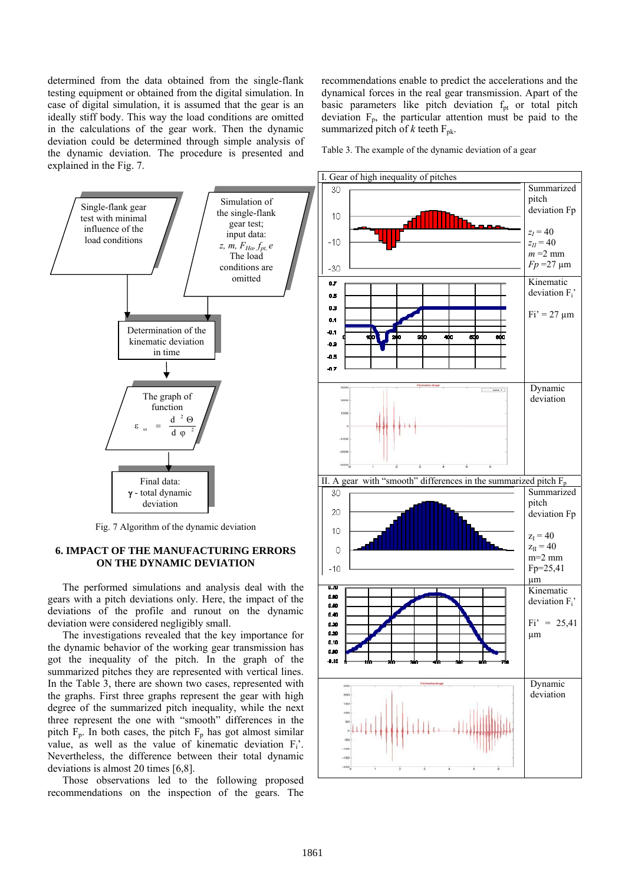determined from the data obtained from the single-flank testing equipment or obtained from the digital simulation. In case of digital simulation, it is assumed that the gear is an ideally stiff body. This way the load conditions are omitted in the calculations of the gear work. Then the dynamic deviation could be determined through simple analysis of the dynamic deviation. The procedure is presented and explained in the Fig. 7.

recommendations enable to predict the accelerations and the dynamical forces in the real gear transmission. Apart of the basic parameters like pitch deviation  $f<sub>pt</sub>$  or total pitch deviation  $F_p$ , the particular attention must be paid to the summarized pitch of  $k$  teeth  $F_{pk}$ .

Table 3. The example of the dynamic deviation of a gear



Fig. 7 Algorithm of the dynamic deviation

## **6. IMPACT OF THE MANUFACTURING ERRORS ON THE DYNAMIC DEVIATION**

 The performed simulations and analysis deal with the gears with a pitch deviations only. Here, the impact of the deviations of the profile and runout on the dynamic deviation were considered negligibly small.

 The investigations revealed that the key importance for the dynamic behavior of the working gear transmission has got the inequality of the pitch. In the graph of the summarized pitches they are represented with vertical lines. In the Table 3, there are shown two cases, represented with the graphs. First three graphs represent the gear with high degree of the summarized pitch inequality, while the next three represent the one with "smooth" differences in the pitch  $F_p$ . In both cases, the pitch  $F_p$  has got almost similar value, as well as the value of kinematic deviation  $F_i$ . Nevertheless, the difference between their total dynamic deviations is almost 20 times [6,8].

 Those observations led to the following proposed recommendations on the inspection of the gears. The